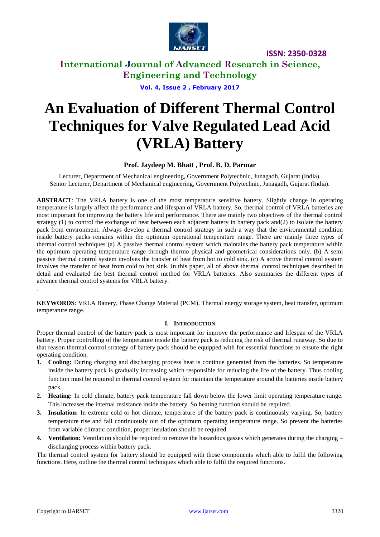

**ISSN: 2350-0328**

**International Journal of Advanced Research in Science, Engineering and Technology**

**Vol. 4, Issue 2 , February 2017**

# **An Evaluation of Different Thermal Control Techniques for Valve Regulated Lead Acid (VRLA) Battery**

## **Prof. Jaydeep M. Bhatt , Prof. B. D. Parmar**

Lecturer, Department of Mechanical engineering, Government Polytechnic, Junagadh, Gujarat (India). Senior Lecturer, Department of Mechanical engineering, Government Polytechnic, Junagadh, Gujarat (India).

**ABSTRACT**: The VRLA battery is one of the most temperature sensitive battery. Slightly change in operating temperature is largely affect the performance and lifespan of VRLA battery. So, thermal control of VRLA batteries are most important for improving the battery life and performance. There are mainly two objectives of the thermal control strategy (1) to control the exchange of heat between each adjacent battery in battery pack and(2) to isolate the battery pack from environment. Always develop a thermal control strategy in such a way that the environmental condition inside battery packs remains within the optimum operational temperature range. There are mainly three types of thermal control techniques (a) A passive thermal control system which maintains the battery pack temperature within the optimum operating temperature range through thermo physical and geometrical considerations only. (b) A semi passive thermal control system involves the transfer of heat from hot to cold sink. (c) A active thermal control system involves the transfer of heat from cold to hot sink. In this paper, all of above thermal control techniques described in detail and evaluated the best thermal control method for VRLA batteries. Also summaries the different types of advance thermal control systems for VRLA battery.

**KEYWORDS**: VRLA Battery, Phase Change Material (PCM), Thermal energy storage system, heat transfer, optimum temperature range.

### **I. INTRODUCTION**

Proper thermal control of the battery pack is most important for improve the performance and lifespan of the VRLA battery. Proper controlling of the temperature inside the battery pack is reducing the risk of thermal runaway. So due to that reason thermal control strategy of battery pack should be equipped with for essential functions to ensure the right operating condition.

- **1. Cooling:** During charging and discharging process heat is continue generated from the batteries. So temperature inside the battery pack is gradually increasing which responsible for reducing the life of the battery. Thus cooling function must be required in thermal control system for maintain the temperature around the batteries inside battery pack.
- **2. Heating:** In cold climate, battery pack temperature fall down below the lower limit operating temperature range. This increases the internal resistance inside the battery. So heating function should be required.
- **3. Insulation:** In extreme cold or hot climate, temperature of the battery pack is continuously varying. So, battery temperature rise and fall continuously out of the optimum operating temperature range. So prevent the batteries from variable climatic condition, proper insulation should be required.
- **4. Ventilation:** Ventilation should be required to remove the hazardous gasses which generates during the charging discharging process within battery pack.

The thermal control system for battery should be equipped with those components which able to fulfil the following functions. Here, outline the thermal control techniques which able to fulfil the required functions.

.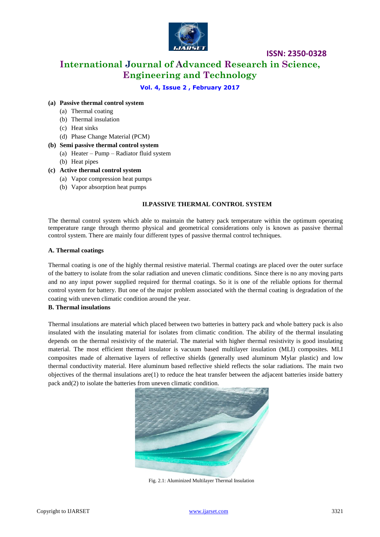

## **ISSN: 2350-0328**

**International Journal of Advanced Research in Science, Engineering and Technology**

## **Vol. 4, Issue 2 , February 2017**

#### **(a) Passive thermal control system**

- (a) Thermal coating
- (b) Thermal insulation
- (c) Heat sinks
- (d) Phase Change Material (PCM)
- **(b) Semi passive thermal control system** 
	- (a) Heater Pump Radiator fluid system
	- (b) Heat pipes

#### **(c) Active thermal control system**

- (a) Vapor compression heat pumps
- (b) Vapor absorption heat pumps

#### **II.PASSIVE THERMAL CONTROL SYSTEM**

The thermal control system which able to maintain the battery pack temperature within the optimum operating temperature range through thermo physical and geometrical considerations only is known as passive thermal control system. There are mainly four different types of passive thermal control techniques.

#### **A. Thermal coatings**

Thermal coating is one of the highly thermal resistive material. Thermal coatings are placed over the outer surface of the battery to isolate from the solar radiation and uneven climatic conditions. Since there is no any moving parts and no any input power supplied required for thermal coatings. So it is one of the reliable options for thermal control system for battery. But one of the major problem associated with the thermal coating is degradation of the coating with uneven climatic condition around the year.

#### **B. Thermal insulations**

Thermal insulations are material which placed between two batteries in battery pack and whole battery pack is also insulated with the insulating material for isolates from climatic condition. The ability of the thermal insulating depends on the thermal resistivity of the material. The material with higher thermal resistivity is good insulating material. The most efficient thermal insulator is vacuum based multilayer insulation (MLI) composites. MLI composites made of alternative layers of reflective shields (generally used aluminum Mylar plastic) and low thermal conductivity material. Here aluminum based reflective shield reflects the solar radiations. The main two objectives of the thermal insulations are(1) to reduce the heat transfer between the adjacent batteries inside battery pack and(2) to isolate the batteries from uneven climatic condition.



Fig. 2.1: Aluminized Multilayer Thermal Insulation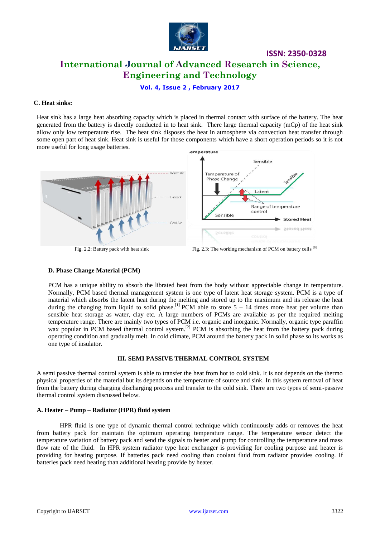

# **ISSN: 2350-0328 International Journal of Advanced Research in Science, Engineering and Technology**

**Vol. 4, Issue 2 , February 2017**

#### **C. Heat sinks:**

Heat sink has a large heat absorbing capacity which is placed in thermal contact with surface of the battery. The heat generated from the battery is directly conducted in to heat sink. There large thermal capacity (mCp) of the heat sink allow only low temperature rise. The heat sink disposes the heat in atmosphere via convection heat transfer through some open part of heat sink. Heat sink is useful for those components which have a short operation periods so it is not more useful for long usage batteries. emperature



Fig. 2.2: Battery pack with heat sink Fig. 2.3: The working mechanism of PCM on battery cells <sup>[6]</sup>

#### **D. Phase Change Material (PCM)**

PCM has a unique ability to absorb the librated heat from the body without appreciable change in temperature. Normally, PCM based thermal management system is one type of latent heat storage system. PCM is a type of material which absorbs the latent heat during the melting and stored up to the maximum and its release the heat during the changing from liquid to solid phase.<sup>[1]</sup> PCM able to store  $5 - 14$  times more heat per volume than sensible heat storage as water, clay etc. A large numbers of PCMs are available as per the required melting temperature range. There are mainly two types of PCM i.e. organic and inorganic. Normally, organic type paraffin wax popular in PCM based thermal control system.<sup>[2]</sup> PCM is absorbing the heat from the battery pack during operating condition and gradually melt. In cold climate, PCM around the battery pack in solid phase so its works as one type of insulator.

#### **III. SEMI PASSIVE THERMAL CONTROL SYSTEM**

A semi passive thermal control system is able to transfer the heat from hot to cold sink. It is not depends on the thermo physical properties of the material but its depends on the temperature of source and sink. In this system removal of heat from the battery during charging discharging process and transfer to the cold sink. There are two types of semi-passive thermal control system discussed below.

#### **A. Heater – Pump – Radiator (HPR) fluid system**

HPR fluid is one type of dynamic thermal control technique which continuously adds or removes the heat from battery pack for maintain the optimum operating temperature range. The temperature sensor detect the temperature variation of battery pack and send the signals to heater and pump for controlling the temperature and mass flow rate of the fluid. In HPR system radiator type heat exchanger is providing for cooling purpose and heater is providing for heating purpose. If batteries pack need cooling than coolant fluid from radiator provides cooling. If batteries pack need heating than additional heating provide by heater.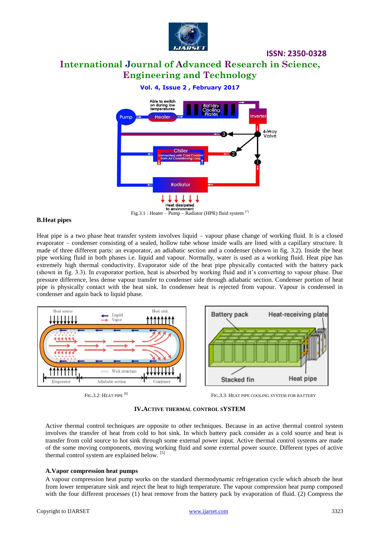

## **ISSN: 2350-0328**

# **International Journal of Advanced Research in Science, Engineering and Technology**

**Vol. 4, Issue 2 , February 2017**



Fig.3.1 : Heater – Pump – Radiator (HPR) fluid system <sup>[7]</sup>

#### **B.Heat pipes**

Heat pipe is a two phase heat transfer system involves liquid – vapour phase change of working fluid. It is a closed evaporator – condenser consisting of a sealed, hollow tube whose inside walls are lined with a capillary structure. It made of three different parts: an evaporator, an adiabatic section and a condenser (shown in fig. 3.2). Inside the heat pipe working fluid in both phases i.e. liquid and vapour. Normally, water is used as a working fluid. Heat pipe has extremely high thermal conductivity. Evaporator side of the heat pipe physically contacted with the battery pack (shown in fig. 3.3). In evaporator portion, heat is absorbed by working fluid and it's converting to vapour phase. Due pressure difference, less dense vapour transfer to condenser side through adiabatic section. Condenser portion of heat pipe is physically contact with the heat sink. In condenser heat is rejected from vapour. Vapour is condensed in condenser and again back to liquid phase.



FIG.3.2: HEAT PIPE [8]

FIG.3.3: HEAT PIPE COOLING SYSTEM FOR BATTERY

#### **IV.ACTIVE THERMAL CONTROL SYSTEM**

Active thermal control techniques are opposite to other techniques. Because in an active thermal control system involves the transfer of heat from cold to hot sink. In which battery pack consider as a cold source and heat is transfer from cold source to hot sink through some external power input. Active thermal control systems are made of the some moving components, moving working fluid and some external power source. Different types of active thermal control system are explained below. [5]

#### **A.Vapor compression heat pumps**

A vapour compression heat pump works on the standard thermodynamic refrigeration cycle which absorb the heat from lower temperature sink and reject the heat to high temperature. The vapour compression heat pump composed with the four different processes (1) heat remove from the battery pack by evaporation of fluid. (2) Compress the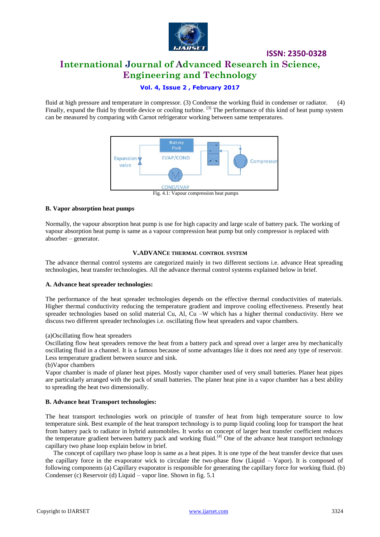

# **ISSN: 2350-0328 International Journal of Advanced Research in Science, Engineering and Technology**

## **Vol. 4, Issue 2 , February 2017**

fluid at high pressure and temperature in compressor. (3) Condense the working fluid in condenser or radiator. (4) Finally, expand the fluid by throttle device or cooling turbine. <sup>[3]</sup> The performance of this kind of heat pump system can be measured by comparing with Carnot refrigerator working between same temperatures.



#### Fig. 4.1: Vapour compression heat pumps

#### **B. Vapor absorption heat pumps**

Normally, the vapour absorption heat pump is use for high capacity and large scale of battery pack. The working of vapour absorption heat pump is same as a vapour compression heat pump but only compressor is replaced with absorber – generator.

#### **V.ADVANCE THERMAL CONTROL SYSTEM**

The advance thermal control systems are categorized mainly in two different sections i.e. advance Heat spreading technologies, heat transfer technologies. All the advance thermal control systems explained below in brief.

#### **A. Advance heat spreader technologies:**

The performance of the heat spreader technologies depends on the effective thermal conductivities of materials. Higher thermal conductivity reducing the temperature gradient and improve cooling effectiveness. Presently heat spreader technologies based on solid material Cu, Al, Cu –W which has a higher thermal conductivity. Here we discuss two different spreader technologies i.e. oscillating flow heat spreaders and vapor chambers.

#### (a)Oscillating flow heat spreaders

Oscillating flow heat spreaders remove the heat from a battery pack and spread over a larger area by mechanically oscillating fluid in a channel. It is a famous because of some advantages like it does not need any type of reservoir. Less temperature gradient between source and sink.

(b)Vapor chambers

Vapor chamber is made of planer heat pipes. Mostly vapor chamber used of very small batteries. Planer heat pipes are particularly arranged with the pack of small batteries. The planer heat pine in a vapor chamber has a best ability to spreading the heat two dimensionally.

#### **B. Advance heat Transport technologies:**

The heat transport technologies work on principle of transfer of heat from high temperature source to low temperature sink. Best example of the heat transport technology is to pump liquid cooling loop for transport the heat from battery pack to radiator in hybrid automobiles. It works on concept of larger heat transfer coefficient reduces the temperature gradient between battery pack and working fluid.<sup>[4]</sup> One of the advance heat transport technology capillary two phase loop explain below in brief.

 The concept of capillary two phase loop is same as a heat pipes. It is one type of the heat transfer device that uses the capillary force in the evaporator wick to circulate the two-phase flow (Liquid – Vapor). It is composed of following components (a) Capillary evaporator is responsible for generating the capillary force for working fluid. (b) Condenser (c) Reservoir (d) Liquid – vapor line. Shown in fig. 5.1